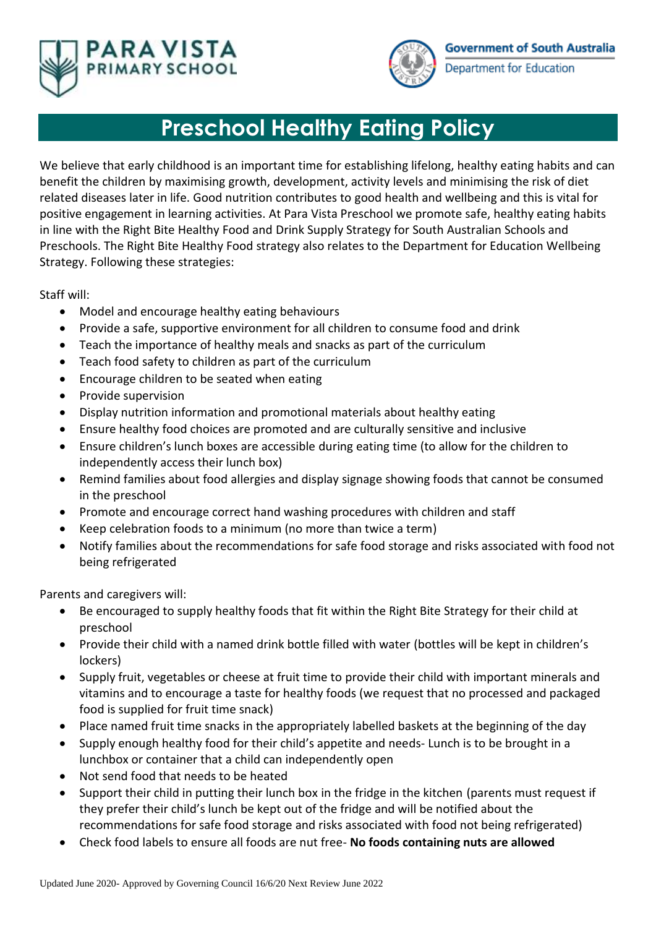



## **Preschool Healthy Eating Policy**

We believe that early childhood is an important time for establishing lifelong, healthy eating habits and can benefit the children by maximising growth, development, activity levels and minimising the risk of diet related diseases later in life. Good nutrition contributes to good health and wellbeing and this is vital for positive engagement in learning activities. At Para Vista Preschool we promote safe, healthy eating habits in line with the Right Bite Healthy Food and Drink Supply Strategy for South Australian Schools and Preschools. The Right Bite Healthy Food strategy also relates to the Department for Education Wellbeing Strategy. Following these strategies:

Staff will:

- Model and encourage healthy eating behaviours
- Provide a safe, supportive environment for all children to consume food and drink
- Teach the importance of healthy meals and snacks as part of the curriculum
- Teach food safety to children as part of the curriculum
- Encourage children to be seated when eating
- Provide supervision
- Display nutrition information and promotional materials about healthy eating
- Ensure healthy food choices are promoted and are culturally sensitive and inclusive
- Ensure children's lunch boxes are accessible during eating time (to allow for the children to independently access their lunch box)
- Remind families about food allergies and display signage showing foods that cannot be consumed in the preschool
- Promote and encourage correct hand washing procedures with children and staff
- Keep celebration foods to a minimum (no more than twice a term)
- Notify families about the recommendations for safe food storage and risks associated with food not being refrigerated

Parents and caregivers will:

- Be encouraged to supply healthy foods that fit within the Right Bite Strategy for their child at preschool
- Provide their child with a named drink bottle filled with water (bottles will be kept in children's lockers)
- Supply fruit, vegetables or cheese at fruit time to provide their child with important minerals and vitamins and to encourage a taste for healthy foods (we request that no processed and packaged food is supplied for fruit time snack)
- Place named fruit time snacks in the appropriately labelled baskets at the beginning of the day
- Supply enough healthy food for their child's appetite and needs- Lunch is to be brought in a lunchbox or container that a child can independently open
- Not send food that needs to be heated
- Support their child in putting their lunch box in the fridge in the kitchen (parents must request if they prefer their child's lunch be kept out of the fridge and will be notified about the recommendations for safe food storage and risks associated with food not being refrigerated)
- Check food labels to ensure all foods are nut free- **No foods containing nuts are allowed**